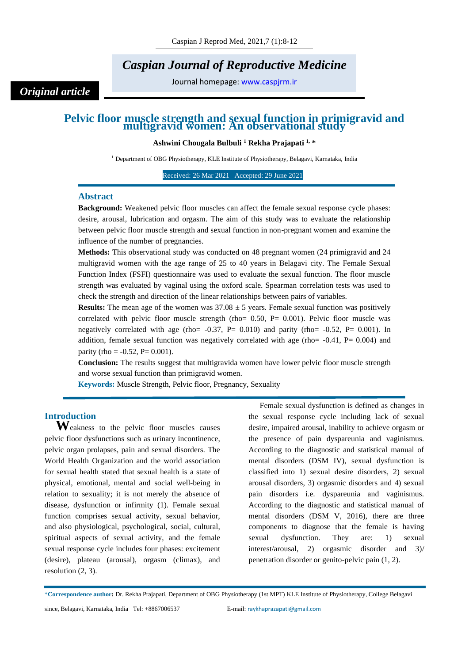## *Caspian Journal of Reproductive Medicine*

Journal homepage: [www.caspjrm.ir](http://www.caspjrm.ir/)

# **Pelvic floor muscle strength and sexual function in primigravid and multigravid women: An observational study**

**Ashwini Chougala Bulbuli <sup>1</sup> Rekha Prajapati 1, \***

<sup>1</sup> Department of OBG Physiotherapy, KLE Institute of Physiotherapy, Belagavi, Karnataka, India

Received: 26 Mar 2021 Accepted: 29 June 2021

#### **Abstract**

*Original article*

**Background:** Weakened pelvic floor muscles can affect the female sexual response cycle phases: desire, arousal, lubrication and orgasm. The aim of this study was to evaluate the relationship between pelvic floor muscle strength and sexual function in non-pregnant women and examine the influence of the number of pregnancies.

**Methods:** This observational study was conducted on 48 pregnant women (24 primigravid and 24 multigravid women with the age range of 25 to 40 years in Belagavi city. The Female Sexual Function Index (FSFI) questionnaire was used to evaluate the sexual function. The floor muscle strength was evaluated by vaginal using the oxford scale. Spearman correlation tests was used to check the strength and direction of the linear relationships between pairs of variables.

**Results:** The mean age of the women was  $37.08 \pm 5$  years. Female sexual function was positively correlated with pelvic floor muscle strength (rho=  $0.50$ , P=  $0.001$ ). Pelvic floor muscle was negatively correlated with age (rho=  $-0.37$ , P=  $0.010$ ) and parity (rho=  $-0.52$ , P=  $0.001$ ). In addition, female sexual function was negatively correlated with age (rho=  $-0.41$ , P=  $0.004$ ) and parity (rho =  $-0.52$ , P= 0.001).

**Conclusion:** The results suggest that multigravida women have lower pelvic floor muscle strength and worse sexual function than primigravid women.

**Keywords:** Muscle Strength, Pelvic floor, Pregnancy, Sexuality

### **Introduction**

Weakness to the pelvic floor muscles causes pelvic floor dysfunctions such as urinary incontinence, pelvic organ prolapses, pain and sexual disorders. The World Health Organization and the world association for sexual health stated that sexual health is a state of physical, emotional, mental and social well-being in relation to sexuality; it is not merely the absence of disease, dysfunction or infirmity (1). Female sexual function comprises sexual activity, sexual behavior, and also physiological, psychological, social, cultural, spiritual aspects of sexual activity, and the female sexual response cycle includes four phases: excitement (desire), plateau (arousal), orgasm (climax), and resolution (2, 3).

Female sexual dysfunction is defined as changes in the sexual response cycle including lack of sexual desire, impaired arousal, inability to achieve orgasm or the presence of pain dyspareunia and vaginismus. According to the diagnostic and statistical manual of mental disorders (DSM IV), sexual dysfunction is classified into 1) sexual desire disorders, 2) sexual arousal disorders, 3) orgasmic disorders and 4) sexual pain disorders i.e. dyspareunia and vaginismus. According to the diagnostic and statistical manual of mental disorders (DSM V, 2016), there are three components to diagnose that the female is having sexual dysfunction. They are: 1) sexual interest/arousal, 2) orgasmic disorder and 3)/ penetration disorder or genito-pelvic pain (1, 2).

<sup>\*</sup>**Correspondence author:** Dr. Rekha Prajapati, Department of OBG Physiotherapy (1st MPT) KLE Institute of Physiotherapy, College Belagavi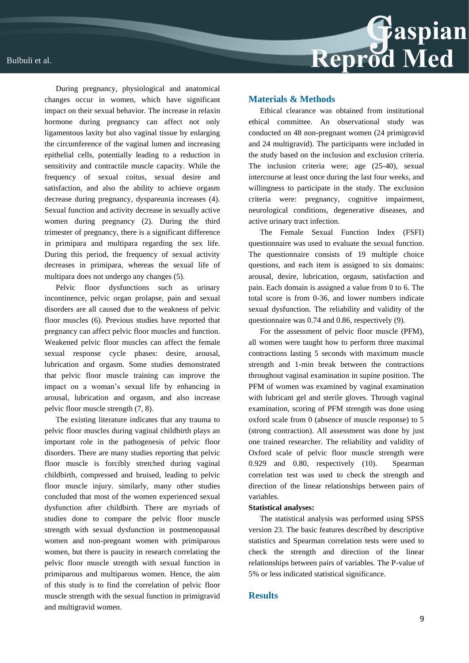During pregnancy, physiological and anatomical changes occur in women, which have significant impact on their sexual behavior. The increase in relaxin hormone during pregnancy can affect not only ligamentous laxity but also vaginal tissue by enlarging the circumference of the vaginal lumen and increasing epithelial cells, potentially leading to a reduction in sensitivity and contractile muscle capacity. While the frequency of sexual coitus, sexual desire and satisfaction, and also the ability to achieve orgasm decrease during pregnancy, dyspareunia increases (4). Sexual function and activity decrease in sexually active women during pregnancy (2). During the third trimester of pregnancy, there is a significant difference in primipara and multipara regarding the sex life. During this period, the frequency of sexual activity decreases in primipara, whereas the sexual life of multipara does not undergo any changes (5).

Pelvic floor dysfunctions such as urinary incontinence, pelvic organ prolapse, pain and sexual disorders are all caused due to the weakness of pelvic floor muscles (6). Previous studies have reported that pregnancy can affect pelvic floor muscles and function. Weakened pelvic floor muscles can affect the female sexual response cycle phases: desire, arousal, lubrication and orgasm. Some studies demonstrated that pelvic floor muscle training can improve the impact on a woman's sexual life by enhancing in arousal, lubrication and orgasm, and also increase pelvic floor muscle strength (7, 8).

The existing literature indicates that any trauma to pelvic floor muscles during vaginal childbirth plays an important role in the pathogenesis of pelvic floor disorders. There are many studies reporting that pelvic floor muscle is forcibly stretched during vaginal childbirth, compressed and bruised, leading to pelvic floor muscle injury. similarly, many other studies concluded that most of the women experienced sexual dysfunction after childbirth. There are myriads of studies done to compare the pelvic floor muscle strength with sexual dysfunction in postmenopausal women and non-pregnant women with primiparous women, but there is paucity in research correlating the pelvic floor muscle strength with sexual function in primiparous and multiparous women. Hence, the aim of this study is to find the correlation of pelvic floor muscle strength with the sexual function in primigravid and multigravid women.

#### **Materials & Methods**

Ethical clearance was obtained from institutional ethical committee. An observational study was conducted on 48 non-pregnant women (24 primigravid and 24 multigravid). The participants were included in the study based on the inclusion and exclusion criteria. The inclusion criteria were; age (25-40), sexual intercourse at least once during the last four weeks, and willingness to participate in the study. The exclusion criteria were: pregnancy, cognitive impairment, neurological conditions, degenerative diseases, and active urinary tract infection.

The Female Sexual Function Index (FSFI) questionnaire was used to evaluate the sexual function. The questionnaire consists of 19 multiple choice questions, and each item is assigned to six domains: arousal, desire, lubrication, orgasm, satisfaction and pain. Each domain is assigned a value from 0 to 6. The total score is from 0-36, and lower numbers indicate sexual dysfunction. The reliability and validity of the questionnaire was 0.74 and 0.86, respectively (9).

For the assessment of pelvic floor muscle (PFM), all women were taught how to perform three maximal contractions lasting 5 seconds with maximum muscle strength and 1-min break between the contractions throughout vaginal examination in supine position. The PFM of women was examined by vaginal examination with lubricant gel and sterile gloves. Through vaginal examination, scoring of PFM strength was done using oxford scale from 0 (absence of muscle response) to 5 (strong contraction). All assessment was done by just one trained researcher. The reliability and validity of Oxford scale of pelvic floor muscle strength were 0.929 and 0.80, respectively (10). Spearman correlation test was used to check the strength and direction of the linear relationships between pairs of variables.

#### **Statistical analyses:**

The statistical analysis was performed using SPSS version 23. The basic features described by descriptive statistics and Spearman correlation tests were used to check the strength and direction of the linear relationships between pairs of variables. The P-value of 5% or less indicated statistical significance.

#### **Results**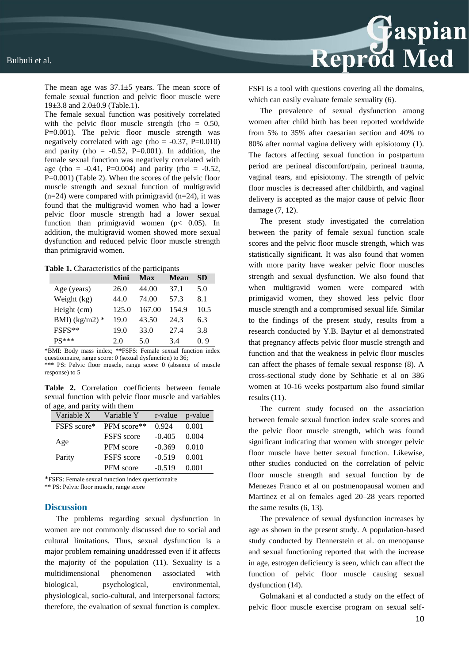

The mean age was 37.1±5 years. The mean score of female sexual function and pelvic floor muscle were 19 $\pm$ 3.8 and 2.0 $\pm$ 0.9 (Table.1).

The female sexual function was positively correlated with the pelvic floor muscle strength (rho  $= 0.50$ , P=0.001). The pelvic floor muscle strength was negatively correlated with age (rho =  $-0.37$ , P=0.010) and parity (rho =  $-0.52$ , P=0.001). In addition, the female sexual function was negatively correlated with age (rho =  $-0.41$ , P=0.004) and parity (rho =  $-0.52$ , P=0.001) (Table 2). When the scores of the pelvic floor muscle strength and sexual function of multigravid  $(n=24)$  were compared with primigravid  $(n=24)$ , it was found that the multigravid women who had a lower pelvic floor muscle strength had a lower sexual function than primigravid women (p< 0.05). In addition, the multigravid women showed more sexual dysfunction and reduced pelvic floor muscle strength than primigravid women.

**Table 1.** Characteristics of the participants

|                 | Mini  | Max    | <b>Mean</b> | <b>SD</b> |
|-----------------|-------|--------|-------------|-----------|
| Age (years)     | 26.0  | 44.00  | 37.1        | 5.0       |
| Weight (kg)     | 44.0  | 74.00  | 57.3        | 8.1       |
| Height (cm)     | 125.0 | 167.00 | 154.9       | 10.5      |
| BMI) $(kg/m2)*$ | 19.0  | 43.50  | 24.3        | 6.3       |
| FSFS**          | 19.0  | 33.0   | 27.4        | 3.8       |
| $PS***$         | 2.0   | 5.0    | 3.4         | 0.9       |

\*BMI: Body mass index; \*\*FSFS: Female sexual function index questionnaire, range score: 0 (sexual dysfunction) to 36; \*\* PS: Pelvic floor muscle, range score: 0 (absence of muscle response) to 5

**Table 2.** Correlation coefficients between female sexual function with pelvic floor muscle and variables of age, and parity with them

| $m = 0, m = 0$ |                   |          |         |
|----------------|-------------------|----------|---------|
| Variable X     | Variable Y        | r-value  | p-value |
| FSFS score*    | PFM score**       | 0.924    | 0.001   |
| Age            | <b>FSFS</b> score | $-0.405$ | 0.004   |
|                | <b>PFM</b> score  | $-0.369$ | 0.010   |
| Parity         | <b>FSFS</b> score | $-0.519$ | 0.001   |
|                | <b>PFM</b> score  | $-0.519$ | 0.001   |

\*FSFS: Female sexual function index questionnaire

\*\* PS: Pelvic floor muscle, range score

#### **Discussion**

The problems regarding sexual dysfunction in women are not commonly discussed due to social and cultural limitations. Thus, sexual dysfunction is a major problem remaining unaddressed even if it affects the majority of the population (11). Sexuality is a multidimensional phenomenon associated with biological, psychological, environmental, physiological, socio-cultural, and interpersonal factors; therefore, the evaluation of sexual function is complex.

FSFI is a tool with questions covering all the domains, which can easily evaluate female sexuality (6).

The prevalence of sexual dysfunction among women after child birth has been reported worldwide from 5% to 35% after caesarian section and 40% to 80% after normal vagina delivery with episiotomy (1). The factors affecting sexual function in postpartum period are perineal discomfort/pain, perineal trauma, vaginal tears, and episiotomy. The strength of pelvic floor muscles is decreased after childbirth, and vaginal delivery is accepted as the major cause of pelvic floor damage (7, 12).

The present study investigated the correlation between the parity of female sexual function scale scores and the pelvic floor muscle strength, which was statistically significant. It was also found that women with more parity have weaker pelvic floor muscles strength and sexual dysfunction. We also found that when multigravid women were compared with primigavid women, they showed less pelvic floor muscle strength and a compromised sexual life. Similar to the findings of the present study, results from a research conducted by Y.B. Baytur et al demonstrated that pregnancy affects pelvic floor muscle strength and function and that the weakness in pelvic floor muscles can affect the phases of female sexual response (8). A cross-sectional study done by Sehhatie et al on 386 women at 10-16 weeks postpartum also found similar results (11).

The current study focused on the association between female sexual function index scale scores and the pelvic floor muscle strength, which was found significant indicating that women with stronger pelvic floor muscle have better sexual function. Likewise, other studies conducted on the correlation of pelvic floor muscle strength and sexual function by de Menezes Franco et al on postmenopausal women and Martinez et al on females aged 20–28 years reported the same results (6, 13).

The prevalence of sexual dysfunction increases by age as shown in the present study. A population-based study conducted by Dennerstein et al. on menopause and sexual functioning reported that with the increase in age, estrogen deficiency is seen, which can affect the function of pelvic floor muscle causing sexual dysfunction  $(14)$ .

Golmakani et al conducted a study on the effect of pelvic floor muscle exercise program on sexual self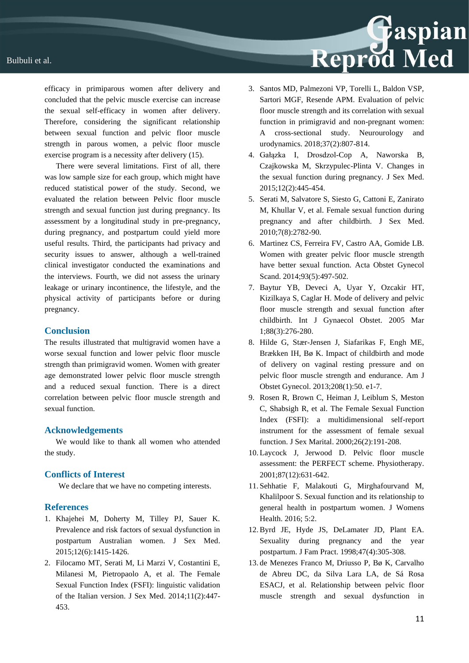efficacy in primiparous women after delivery and concluded that the pelvic muscle exercise can increase the sexual self-efficacy in women after delivery. Therefore, considering the significant relationship between sexual function and pelvic floor muscle strength in parous women, a pelvic floor muscle exercise program is a necessity after delivery (15).

There were several limitations. First of all, there was low sample size for each group, which might have reduced statistical power of the study. Second, we evaluated the relation between Pelvic floor muscle strength and sexual function just during pregnancy. Its assessment by a longitudinal study in pre-pregnancy, during pregnancy, and postpartum could yield more useful results. Third, the participants had privacy and security issues to answer, although a well-trained clinical investigator conducted the examinations and the interviews. Fourth, we did not assess the urinary leakage or urinary incontinence, the lifestyle, and the physical activity of participants before or during pregnancy.

#### **Conclusion**

The results illustrated that multigravid women have a worse sexual function and lower pelvic floor muscle strength than primigravid women. Women with greater age demonstrated lower pelvic floor muscle strength and a reduced sexual function. There is a direct correlation between pelvic floor muscle strength and sexual function.

#### **Acknowledgements**

We would like to thank all women who attended the study.

#### **Conflicts of Interest**

We declare that we have no competing interests.

#### **References**

- 1. Khajehei M, Doherty M, Tilley PJ, Sauer K. Prevalence and risk factors of sexual dysfunction in postpartum Australian women. J Sex Med. 2015;12(6):1415-1426.
- 2. Filocamo MT, Serati M, Li Marzi V, Costantini E, Milanesi M, Pietropaolo A, et al. The Female Sexual Function Index (FSFI): linguistic validation of the Italian version. J Sex Med. 2014;11(2):447- 453.

3. Santos MD, Palmezoni VP, Torelli L, Baldon VSP, Sartori MGF, Resende APM. Evaluation of pelvic floor muscle strength and its correlation with sexual function in primigravid and non-pregnant women: A cross-sectional study. Neurourology and urodynamics. 2018;37(2):807-814.

Reprod Med

- 4. Gałązka I, Drosdzol-Cop A, Naworska B, Czajkowska M, Skrzypulec-Plinta V. Changes in the sexual function during pregnancy. J Sex Med. 2015;12(2):445-454.
- 5. Serati M, Salvatore S, Siesto G, Cattoni E, Zanirato M, Khullar V, et al. Female sexual function during pregnancy and after childbirth. J Sex Med. 2010;7(8):2782-90.
- 6. Martinez CS, Ferreira FV, Castro AA, Gomide LB. Women with greater pelvic floor muscle strength have better sexual function. Acta Obstet Gynecol Scand. 2014:93(5):497-502.
- 7. Baytur YB, Deveci A, Uyar Y, Ozcakir HT, Kizilkaya S, Caglar H. Mode of delivery and pelvic floor muscle strength and sexual function after childbirth. Int J Gynaecol Obstet. 2005 Mar 1;88(3):276-280.
- 8. Hilde G, Stær-Jensen J, Siafarikas F, Engh ME, Brækken IH, Bø K. Impact of childbirth and mode of delivery on vaginal resting pressure and on pelvic floor muscle strength and endurance. Am J Obstet Gynecol. 2013;208(1):50. e1-7.
- 9. Rosen R, Brown C, Heiman J, Leiblum S, Meston C, Shabsigh R, et al. The Female Sexual Function Index (FSFI): a multidimensional self-report instrument for the assessment of female sexual function. J Sex Marital. 2000;26(2):191-208.
- 10. Laycock J, Jerwood D. Pelvic floor muscle assessment: the PERFECT scheme. Physiotherapy. 2001;87(12):631-642.
- 11. Sehhatie F, Malakouti G, Mirghafourvand M, Khalilpoor S. Sexual function and its relationship to general health in postpartum women. J Womens Health. 2016; 5:2.
- 12.Byrd JE, Hyde JS, DeLamater JD, Plant EA. Sexuality during pregnancy and the year postpartum. J Fam Pract. 1998;47(4):305-308.
- 13. de Menezes Franco M, Driusso P, Bø K, Carvalho de Abreu DC, da Silva Lara LA, de Sá Rosa ESACJ, et al. Relationship between pelvic floor muscle strength and sexual dysfunction in